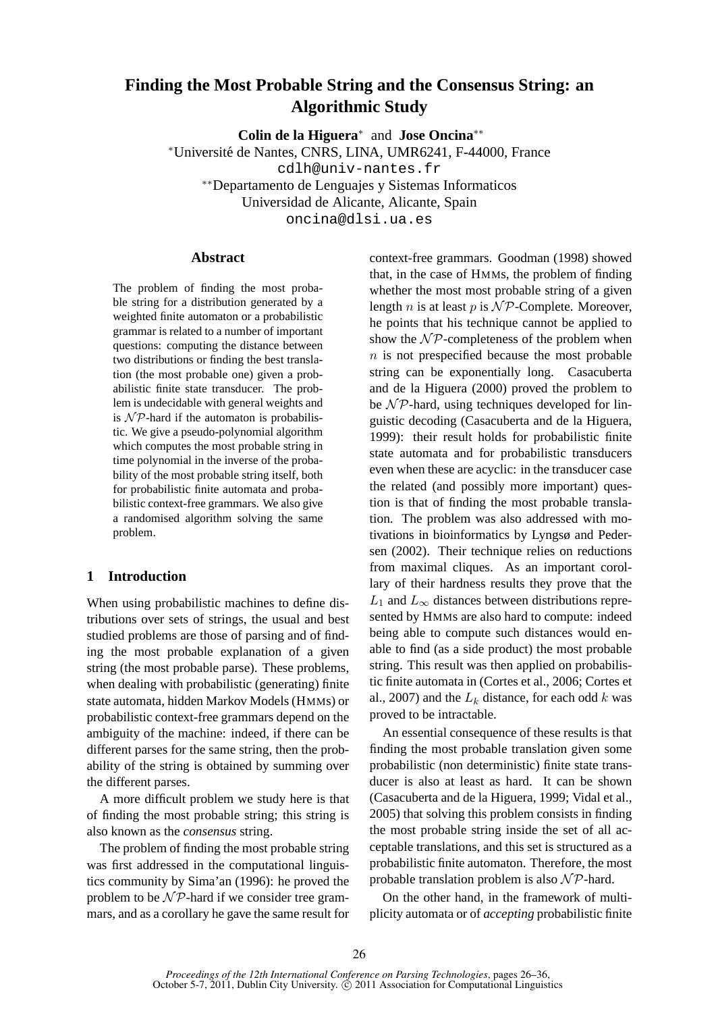# **Finding the Most Probable String and the Consensus String: an Algorithmic Study**

**Colin de la Higuera**<sup>∗</sup> and **Jose Oncina**∗∗

<sup>∗</sup>Universite de Nantes, CNRS, LINA, UMR6241, F-44000, France ´ cdlh@univ-nantes.fr

∗∗Departamento de Lenguajes y Sistemas Informaticos

Universidad de Alicante, Alicante, Spain

oncina@dlsi.ua.es

# **Abstract**

The problem of finding the most probable string for a distribution generated by a weighted finite automaton or a probabilistic grammar is related to a number of important questions: computing the distance between two distributions or finding the best translation (the most probable one) given a probabilistic finite state transducer. The problem is undecidable with general weights and is  $N \mathcal{P}$ -hard if the automaton is probabilistic. We give a pseudo-polynomial algorithm which computes the most probable string in time polynomial in the inverse of the probability of the most probable string itself, both for probabilistic finite automata and probabilistic context-free grammars. We also give a randomised algorithm solving the same problem.

# **1 Introduction**

When using probabilistic machines to define distributions over sets of strings, the usual and best studied problems are those of parsing and of finding the most probable explanation of a given string (the most probable parse). These problems, when dealing with probabilistic (generating) finite state automata, hidden Markov Models (HMMs) or probabilistic context-free grammars depend on the ambiguity of the machine: indeed, if there can be different parses for the same string, then the probability of the string is obtained by summing over the different parses.

A more difficult problem we study here is that of finding the most probable string; this string is also known as the *consensus* string.

The problem of finding the most probable string was first addressed in the computational linguistics community by Sima'an (1996): he proved the problem to be  $\mathcal{NP}$ -hard if we consider tree grammars, and as a corollary he gave the same result for context-free grammars. Goodman (1998) showed that, in the case of HMMs, the problem of finding whether the most most probable string of a given length n is at least p is  $\mathcal{NP}$ -Complete. Moreover, he points that his technique cannot be applied to show the  $\mathcal{NP}$ -completeness of the problem when  $n$  is not prespecified because the most probable string can be exponentially long. Casacuberta and de la Higuera (2000) proved the problem to be  $N \mathcal{P}$ -hard, using techniques developed for linguistic decoding (Casacuberta and de la Higuera, 1999): their result holds for probabilistic finite state automata and for probabilistic transducers even when these are acyclic: in the transducer case the related (and possibly more important) question is that of finding the most probable translation. The problem was also addressed with motivations in bioinformatics by Lyngsø and Pedersen (2002). Their technique relies on reductions from maximal cliques. As an important corollary of their hardness results they prove that the  $L_1$  and  $L_\infty$  distances between distributions represented by HMMs are also hard to compute: indeed being able to compute such distances would enable to find (as a side product) the most probable string. This result was then applied on probabilistic finite automata in (Cortes et al., 2006; Cortes et al., 2007) and the  $L_k$  distance, for each odd k was proved to be intractable.

An essential consequence of these results is that finding the most probable translation given some probabilistic (non deterministic) finite state transducer is also at least as hard. It can be shown (Casacuberta and de la Higuera, 1999; Vidal et al., 2005) that solving this problem consists in finding the most probable string inside the set of all acceptable translations, and this set is structured as a probabilistic finite automaton. Therefore, the most probable translation problem is also  $N \mathcal{P}$ -hard.

On the other hand, in the framework of multiplicity automata or of *accepting* probabilistic finite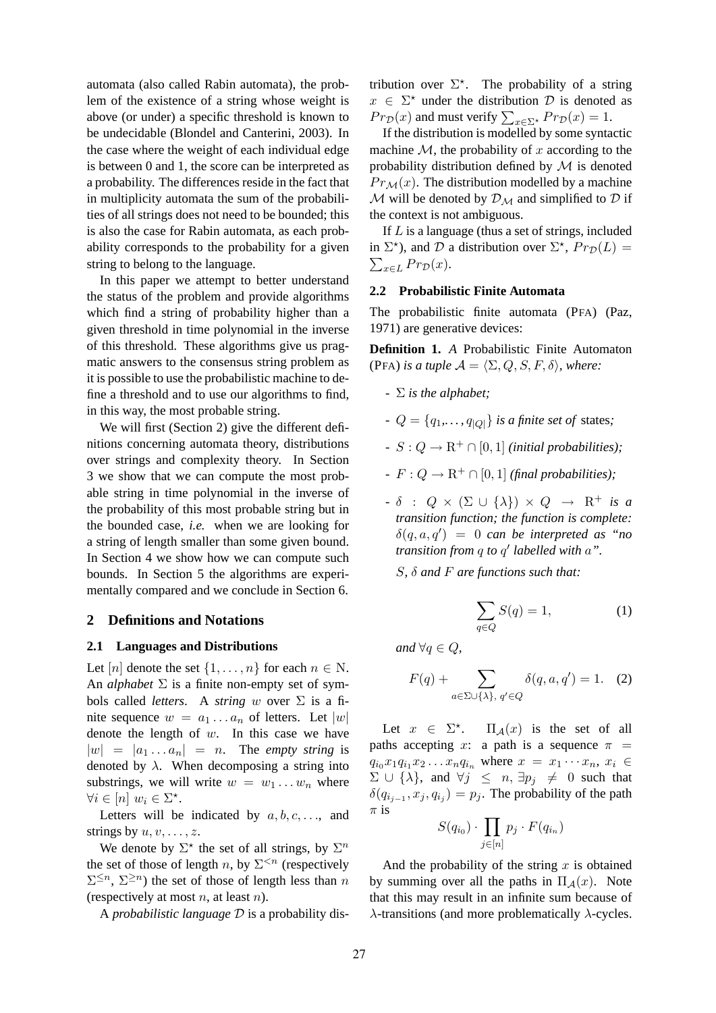automata (also called Rabin automata), the problem of the existence of a string whose weight is above (or under) a specific threshold is known to be undecidable (Blondel and Canterini, 2003). In the case where the weight of each individual edge is between 0 and 1, the score can be interpreted as a probability. The differences reside in the fact that in multiplicity automata the sum of the probabilities of all strings does not need to be bounded; this is also the case for Rabin automata, as each probability corresponds to the probability for a given string to belong to the language.

In this paper we attempt to better understand the status of the problem and provide algorithms which find a string of probability higher than a given threshold in time polynomial in the inverse of this threshold. These algorithms give us pragmatic answers to the consensus string problem as it is possible to use the probabilistic machine to define a threshold and to use our algorithms to find, in this way, the most probable string.

We will first (Section 2) give the different definitions concerning automata theory, distributions over strings and complexity theory. In Section 3 we show that we can compute the most probable string in time polynomial in the inverse of the probability of this most probable string but in the bounded case, *i.e.* when we are looking for a string of length smaller than some given bound. In Section 4 we show how we can compute such bounds. In Section 5 the algorithms are experimentally compared and we conclude in Section 6.

## **2 Definitions and Notations**

#### **2.1 Languages and Distributions**

Let  $[n]$  denote the set  $\{1, \ldots, n\}$  for each  $n \in \mathbb{N}$ . An *alphabet*  $\Sigma$  is a finite non-empty set of symbols called *letters*. A *string* w over  $\Sigma$  is a finite sequence  $w = a_1 \dots a_n$  of letters. Let  $|w|$ denote the length of  $w$ . In this case we have  $|w| = |a_1 \dots a_n| = n$ . The *empty string* is denoted by  $\lambda$ . When decomposing a string into substrings, we will write  $w = w_1 \dots w_n$  where  $\forall i \in [n] \ w_i \in \Sigma^{\star}.$ 

Letters will be indicated by  $a, b, c, \ldots$ , and strings by  $u, v, \ldots, z$ .

We denote by  $\Sigma^*$  the set of all strings, by  $\Sigma^n$ the set of those of length n, by  $\Sigma^{ (respectively$  $\Sigma^{\leq n}$ ,  $\Sigma^{\geq n}$ ) the set of those of length less than n (respectively at most  $n$ , at least  $n$ ).

A *probabilistic language* D is a probability dis-

tribution over  $\Sigma^*$ . The probability of a string  $x \in \Sigma^*$  under the distribution D is denoted as  $Pr_{\mathcal{D}}(x)$  and must verify  $\sum_{x \in \Sigma^*} Pr_{\mathcal{D}}(x) = 1.$ 

If the distribution is modelled by some syntactic machine  $M$ , the probability of x according to the probability distribution defined by  $M$  is denoted  $Pr_{\mathcal{M}}(x)$ . The distribution modelled by a machine M will be denoted by  $\mathcal{D}_M$  and simplified to  $\mathcal D$  if the context is not ambiguous.

If  $L$  is a language (thus a set of strings, included in  $\Sigma^*$ ), and  $D$  a distribution over  $\Sigma^*$ ,  $Pr_D(L) = \sum_{x \in L} Pr_D(x)$ .  $\sum_{x\in L} Pr_{\mathcal{D}}(x).$ 

# **2.2 Probabilistic Finite Automata**

The probabilistic finite automata (PFA) (Paz, 1971) are generative devices:

**Definition 1.** *A* Probabilistic Finite Automaton (PFA) *is a tuple*  $\mathcal{A} = \langle \Sigma, Q, S, F, \delta \rangle$ *, where:* 

- *-* Σ *is the alphabet;*
- *-*  $Q = \{q_1, \ldots, q_{|Q|}\}\$ is a finite set of states;
- *-*  $S: Q \to \mathbb{R}^+ \cap [0, 1]$  *(initial probabilities);*
- *-*  $F: Q \to \mathbb{R}^+ \cap [0, 1]$  *(final probabilities);*
- $\delta$  :  $Q \times (\Sigma \cup \{\lambda\}) \times Q \rightarrow \mathbb{R}^+$  *is a transition function; the function is complete:*  $\delta(q,a,q') = 0$  can be interpreted as "no *transition from* q *to* q ′ *labelled with* a*".*

S*,* δ *and* F *are functions such that:*

$$
\sum_{q \in Q} S(q) = 1,\tag{1}
$$

*and*  $\forall q \in Q$ *,* 

$$
F(q) + \sum_{a \in \Sigma \cup \{\lambda\}, q' \in Q} \delta(q, a, q') = 1. \quad (2)
$$

Let  $x \in \Sigma^*$  $\Pi_{\mathcal{A}}(x)$  is the set of all paths accepting x: a path is a sequence  $\pi$  =  $q_{i_0} x_1 q_{i_1} x_2 \ldots x_n q_{i_n}$  where  $x = x_1 \cdots x_n$ ,  $x_i \in$  $\Sigma \cup \{\lambda\}$ , and  $\forall j \leq n, \exists p_j \neq 0$  such that  $\delta(q_{i_{j-1}}, x_j, q_{i_j}) = p_j$ . The probability of the path  $\pi$  is

$$
S(q_{i_0}) \cdot \prod_{j \in [n]} p_j \cdot F(q_{i_n})
$$

And the probability of the string  $x$  is obtained by summing over all the paths in  $\Pi_A(x)$ . Note that this may result in an infinite sum because of  $\lambda$ -transitions (and more problematically  $\lambda$ -cycles.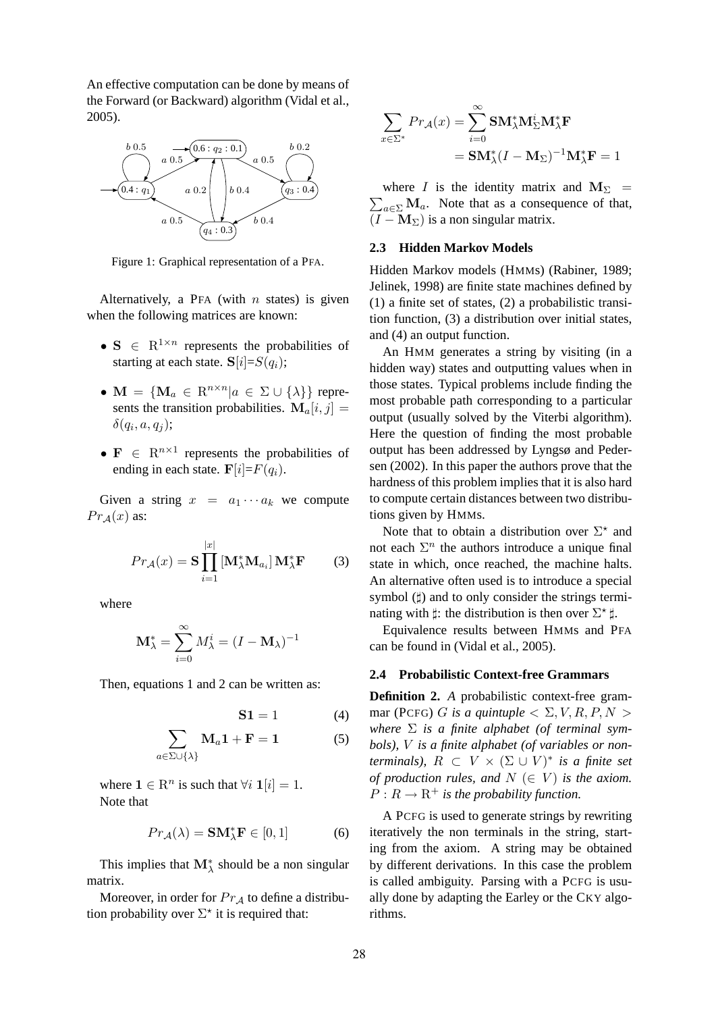An effective computation can be done by means of the Forward (or Backward) algorithm (Vidal et al., 2005).



Figure 1: Graphical representation of a PFA.

Alternatively, a PFA (with  $n$  states) is given when the following matrices are known:

- $S \in R^{1 \times n}$  represents the probabilities of starting at each state.  $S[i]=S(q_i);$
- $\mathbf{M} = \{ \mathbf{M}_a \in \mathbb{R}^{n \times n} | a \in \Sigma \cup \{ \lambda \} \}$  represents the transition probabilities.  $\mathbf{M}_a[i, j] =$  $\delta(q_i, a, q_j);$
- $\mathbf{F} \in \mathbb{R}^{n \times 1}$  represents the probabilities of ending in each state.  $\mathbf{F}[i]=F(q_i)$ .

Given a string  $x = a_1 \cdots a_k$  we compute  $Pr_A(x)$  as:

$$
Pr_{\mathcal{A}}(x) = \mathbf{S} \prod_{i=1}^{|x|} \left[ \mathbf{M}_{\lambda}^* \mathbf{M}_{a_i} \right] \mathbf{M}_{\lambda}^* \mathbf{F} \tag{3}
$$

where

$$
\mathbf{M}_{\lambda}^{*} = \sum_{i=0}^{\infty} M_{\lambda}^{i} = (I - \mathbf{M}_{\lambda})^{-1}
$$

Then, equations 1 and 2 can be written as:

$$
\mathbf{S1} = 1 \tag{4}
$$

$$
\sum_{a \in \Sigma \cup \{\lambda\}} \mathbf{M}_a \mathbf{1} + \mathbf{F} = 1 \tag{5}
$$

where  $\mathbf{1} \in \mathbb{R}^n$  is such that  $\forall i \mathbf{1}[i] = 1$ . Note that

$$
Pr_{\mathcal{A}}(\lambda) = \mathbf{SM}_{\lambda}^{*} \mathbf{F} \in [0, 1]
$$
 (6)

This implies that  $\mathbf{M}_{\lambda}^{*}$  should be a non singular matrix.

Moreover, in order for  $Pr_{\mathcal{A}}$  to define a distribution probability over  $\Sigma^*$  it is required that:

$$
\sum_{x \in \Sigma^*} Pr_{\mathcal{A}}(x) = \sum_{i=0}^{\infty} \mathbf{SM}_{\lambda}^* \mathbf{M}_{\Sigma}^i \mathbf{M}_{\lambda}^* \mathbf{F}
$$

$$
= \mathbf{SM}_{\lambda}^* (I - \mathbf{M}_{\Sigma})^{-1} \mathbf{M}_{\lambda}^* \mathbf{F} = 1
$$

 $\sum_{a \in \Sigma} \mathbf{M}_a$ . Note that as a consequence of that, where I is the identity matrix and  $M_{\Sigma}$  =  $(I - M_{\Sigma})$  is a non singular matrix.

### **2.3 Hidden Markov Models**

Hidden Markov models (HMMs) (Rabiner, 1989; Jelinek, 1998) are finite state machines defined by (1) a finite set of states, (2) a probabilistic transition function, (3) a distribution over initial states, and (4) an output function.

An HMM generates a string by visiting (in a hidden way) states and outputting values when in those states. Typical problems include finding the most probable path corresponding to a particular output (usually solved by the Viterbi algorithm). Here the question of finding the most probable output has been addressed by Lyngsø and Pedersen (2002). In this paper the authors prove that the hardness of this problem implies that it is also hard to compute certain distances between two distributions given by HMMs.

Note that to obtain a distribution over  $\Sigma^*$  and not each  $\Sigma^n$  the authors introduce a unique final state in which, once reached, the machine halts. An alternative often used is to introduce a special symbol ( $\sharp$ ) and to only consider the strings terminating with  $\sharp$ : the distribution is then over  $\Sigma^*$   $\sharp$ .

Equivalence results between HMMs and PFA can be found in (Vidal et al., 2005).

#### **2.4 Probabilistic Context-free Grammars**

**Definition 2.** *A* probabilistic context-free grammar (PCFG) G is a quintuple  $\langle \Sigma, V, R, P, N \rangle$ where  $\Sigma$  *is a finite alphabet (of terminal symbols),* V *is a finite alphabet (of variables or nonterminals),*  $R \subset V \times (\Sigma \cup V)^*$  *is a finite set of production rules, and*  $N$  ( $\in$   $V$ ) *is the axiom.*  $P: R \to \mathbb{R}^+$  *is the probability function.* 

A PCFG is used to generate strings by rewriting iteratively the non terminals in the string, starting from the axiom. A string may be obtained by different derivations. In this case the problem is called ambiguity. Parsing with a PCFG is usually done by adapting the Earley or the CKY algorithms.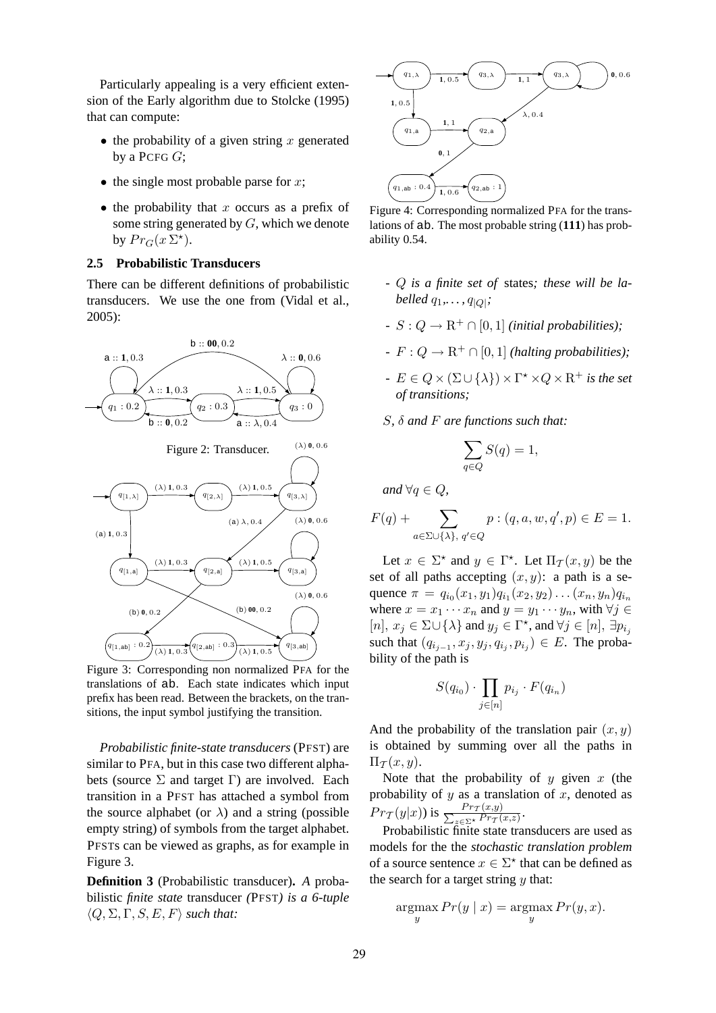Particularly appealing is a very efficient extension of the Early algorithm due to Stolcke (1995) that can compute:

- the probability of a given string x generated by a PCFG  $G$ :
- the single most probable parse for  $x$ ;
- $\bullet$  the probability that x occurs as a prefix of some string generated by G, which we denote by  $Pr_G(x \Sigma^*)$ .

# **2.5 Probabilistic Transducers**

There can be different definitions of probabilistic transducers. We use the one from (Vidal et al., 2005):



Figure 3: Corresponding non normalized PFA for the translations of ab. Each state indicates which input prefix has been read. Between the brackets, on the transitions, the input symbol justifying the transition.

*Probabilistic finite-state transducers* (PFST) are similar to PFA, but in this case two different alphabets (source  $\Sigma$  and target  $\Gamma$ ) are involved. Each transition in a PFST has attached a symbol from the source alphabet (or  $\lambda$ ) and a string (possible empty string) of symbols from the target alphabet. PFSTs can be viewed as graphs, as for example in Figure 3.

**Definition 3** (Probabilistic transducer)**.** *A* probabilistic *finite state* transducer *(*PFST*) is a 6-tuple*  $\langle Q, \Sigma, \Gamma, S, E, F \rangle$  *such that:* 



Figure 4: Corresponding normalized PFA for the translations of ab. The most probable string (**111**) has probability 0.54.

- *-* Q *is a finite set of* states*; these will be labelled* q1*,. . . ,* q|Q<sup>|</sup> *;*
- *-*  $S: Q \to \mathbb{R}^+ \cap [0, 1]$  *(initial probabilities);*
- *-*  $F: Q \to \mathbb{R}^+ \cap [0, 1]$  *(halting probabilities);*
- $E \in Q \times (\Sigma \cup \{\lambda\}) \times \Gamma^* \times Q \times \mathbb{R}^+$  *is the set of transitions;*
- S*,* δ *and* F *are functions such that:*

$$
\sum_{q\in Q}S(q)=1,
$$

*and*  $\forall q \in Q$ *,* 

$$
F(q) + \sum_{a \in \Sigma \cup \{\lambda\}, q' \in Q} p : (q, a, w, q', p) \in E = 1.
$$

Let  $x \in \Sigma^*$  and  $y \in \Gamma^*$ . Let  $\Pi_{\mathcal{I}}(x, y)$  be the set of all paths accepting  $(x, y)$ : a path is a sequence  $\pi = q_{i_0}(x_1, y_1) q_{i_1}(x_2, y_2) \dots (x_n, y_n) q_{i_n}$ where  $x = x_1 \cdots x_n$  and  $y = y_1 \cdots y_n$ , with  $\forall j \in$  $[n], x_j \in \Sigma \cup {\{\lambda\}}$  and  $y_j \in \Gamma^\star$ , and  $\forall j \in [n], \exists p_{i_j}$ such that  $(q_{i_{j-1}}, x_j, y_j, q_{i_j}, p_{i_j}) \in E$ . The probability of the path is

$$
S(q_{i_0}) \cdot \prod_{j \in [n]} p_{i_j} \cdot F(q_{i_n})
$$

And the probability of the translation pair  $(x, y)$ is obtained by summing over all the paths in  $\Pi_{\mathcal{T}}(x,y).$ 

Note that the probability of  $y$  given  $x$  (the probability of  $y$  as a translation of  $x$ , denoted as  $Pr_{\mathcal{T}}(y|x)$ ) is  $\frac{Pr_{\mathcal{T}}(x,y)}{\sum_{z \in \Sigma^{\star}} Pr_{\mathcal{T}}(z)}$  $\frac{Pr_{\mathcal{T}}(x,y)}{z \in \Sigma^{\star}} \frac{Pr_{\mathcal{T}}(x,z)}{Pr_{\mathcal{T}}(x,z)}$ 

Probabilistic finite state transducers are used as models for the the *stochastic translation problem* of a source sentence  $x \in \Sigma^*$  that can be defined as the search for a target string  $y$  that:

$$
\operatorname*{argmax}_{y} Pr(y \mid x) = \operatorname*{argmax}_{y} Pr(y, x).
$$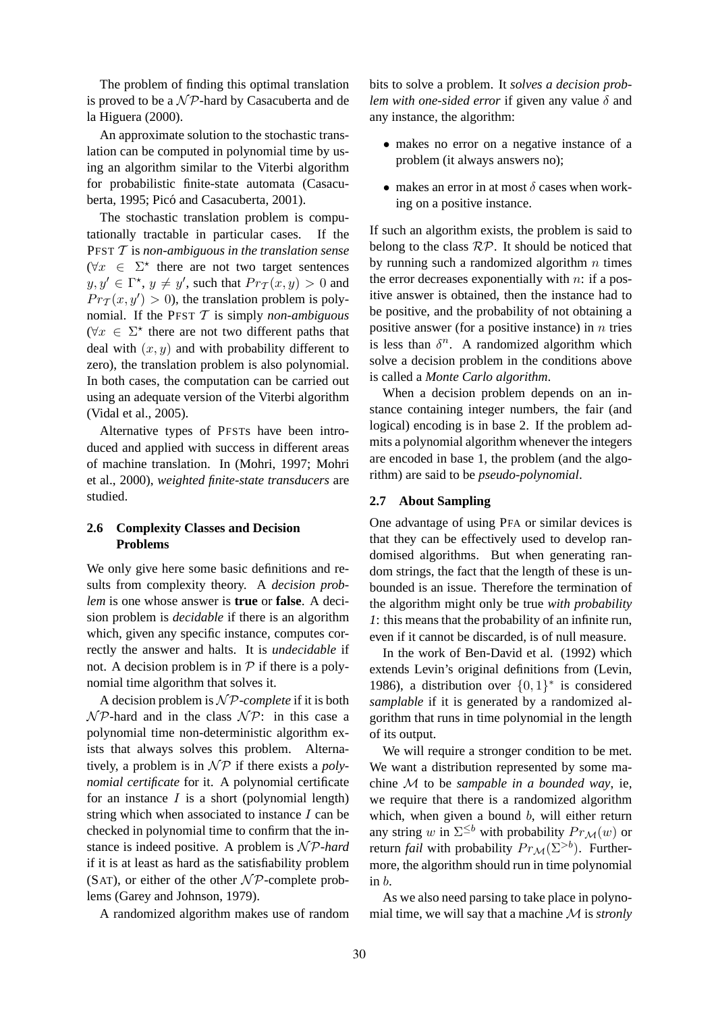The problem of finding this optimal translation is proved to be a  $\mathcal{NP}$ -hard by Casacuberta and de la Higuera (2000).

An approximate solution to the stochastic translation can be computed in polynomial time by using an algorithm similar to the Viterbi algorithm for probabilistic finite-state automata (Casacuberta, 1995; Picó and Casacuberta, 2001).

The stochastic translation problem is computationally tractable in particular cases. If the PFST T is *non-ambiguous in the translation sense*  $(\forall x \in \Sigma^*$  there are not two target sentences  $y, y' \in \Gamma^{\star}, y \neq y'$ , such that  $Pr_{\mathcal{T}}(x, y) > 0$  and  $Pr<sub>T</sub>(x, y') > 0$ , the translation problem is polynomial. If the PFST T is simply *non-ambiguous*  $(\forall x \in \Sigma^*$  there are not two different paths that deal with  $(x, y)$  and with probability different to zero), the translation problem is also polynomial. In both cases, the computation can be carried out using an adequate version of the Viterbi algorithm (Vidal et al., 2005).

Alternative types of PFSTs have been introduced and applied with success in different areas of machine translation. In (Mohri, 1997; Mohri et al., 2000), *weighted finite-state transducers* are studied.

# **2.6 Complexity Classes and Decision Problems**

We only give here some basic definitions and results from complexity theory. A *decision problem* is one whose answer is **true** or **false**. A decision problem is *decidable* if there is an algorithm which, given any specific instance, computes correctly the answer and halts. It is *undecidable* if not. A decision problem is in  $P$  if there is a polynomial time algorithm that solves it.

A decision problem is  $\mathcal{NP}$ -*complete* if it is both  $\mathcal{NP}$ -hard and in the class  $\mathcal{NP}$ : in this case a polynomial time non-deterministic algorithm exists that always solves this problem. Alternatively, a problem is in  $\mathcal{NP}$  if there exists a *polynomial certificate* for it. A polynomial certificate for an instance  $I$  is a short (polynomial length) string which when associated to instance  $I$  can be checked in polynomial time to confirm that the instance is indeed positive. A problem is  $N \mathcal{P}$ -hard if it is at least as hard as the satisfiability problem (SAT), or either of the other  $\mathcal{NP}$ -complete problems (Garey and Johnson, 1979).

A randomized algorithm makes use of random

bits to solve a problem. It *solves a decision problem with one-sided error* if given any value  $\delta$  and any instance, the algorithm:

- makes no error on a negative instance of a problem (it always answers no);
- makes an error in at most  $\delta$  cases when working on a positive instance.

If such an algorithm exists, the problem is said to belong to the class  $\mathcal{RP}$ . It should be noticed that by running such a randomized algorithm  $n$  times the error decreases exponentially with  $n$ : if a positive answer is obtained, then the instance had to be positive, and the probability of not obtaining a positive answer (for a positive instance) in  $n$  tries is less than  $\delta^n$ . A randomized algorithm which solve a decision problem in the conditions above is called a *Monte Carlo algorithm*.

When a decision problem depends on an instance containing integer numbers, the fair (and logical) encoding is in base 2. If the problem admits a polynomial algorithm whenever the integers are encoded in base 1, the problem (and the algorithm) are said to be *pseudo-polynomial*.

#### **2.7 About Sampling**

One advantage of using PFA or similar devices is that they can be effectively used to develop randomised algorithms. But when generating random strings, the fact that the length of these is unbounded is an issue. Therefore the termination of the algorithm might only be true *with probability 1*: this means that the probability of an infinite run, even if it cannot be discarded, is of null measure.

In the work of Ben-David et al. (1992) which extends Levin's original definitions from (Levin, 1986), a distribution over  $\{0, 1\}^*$  is considered *samplable* if it is generated by a randomized algorithm that runs in time polynomial in the length of its output.

We will require a stronger condition to be met. We want a distribution represented by some machine M to be *sampable in a bounded way*, ie, we require that there is a randomized algorithm which, when given a bound  $b$ , will either return any string w in  $\Sigma^{\leq b}$  with probability  $Pr_{\mathcal{M}}(w)$  or return *fail* with probability  $Pr_{\mathcal{M}}(\Sigma^{>b})$ . Furthermore, the algorithm should run in time polynomial in b.

As we also need parsing to take place in polynomial time, we will say that a machine M is *stronly*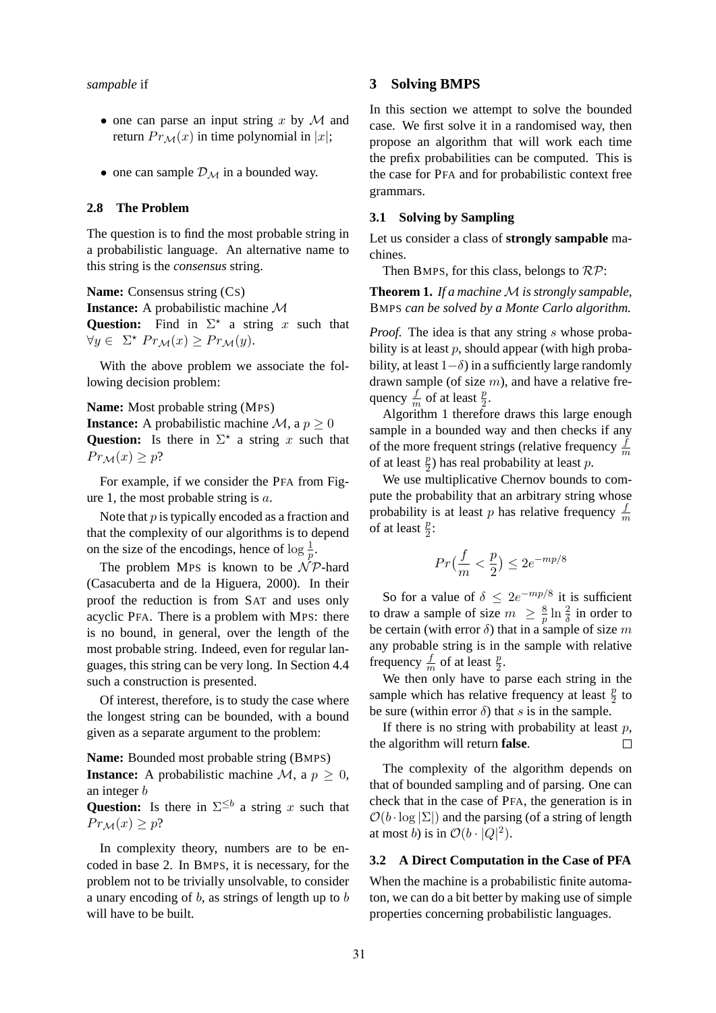- one can parse an input string x by  $M$  and return  $Pr_{\mathcal{M}}(x)$  in time polynomial in |x|;
- one can sample  $\mathcal{D}_{\mathcal{M}}$  in a bounded way.

#### **2.8 The Problem**

The question is to find the most probable string in a probabilistic language. An alternative name to this string is the *consensus* string.

**Name:** Consensus string (CS) **Instance:** A probabilistic machine M **Question:** Find in  $\Sigma^*$  a string x such that  $\forall y \in \Sigma^{\star} Pr_{\mathcal{M}}(x) \geq Pr_{\mathcal{M}}(y).$ 

With the above problem we associate the following decision problem:

**Name:** Most probable string (MPS)

**Instance:** A probabilistic machine  $\mathcal{M}$ , a  $p \geq 0$ **Question:** Is there in  $\Sigma^*$  a string x such that  $Pr_{\mathcal{M}}(x) \geq p$ ?

For example, if we consider the PFA from Figure 1, the most probable string is  $a$ .

Note that  $p$  is typically encoded as a fraction and that the complexity of our algorithms is to depend on the size of the encodings, hence of  $\log \frac{1}{p}$ .

The problem MPS is known to be  $\mathcal{NP}$ -hard (Casacuberta and de la Higuera, 2000). In their proof the reduction is from SAT and uses only acyclic PFA. There is a problem with MPS: there is no bound, in general, over the length of the most probable string. Indeed, even for regular languages, this string can be very long. In Section 4.4 such a construction is presented.

Of interest, therefore, is to study the case where the longest string can be bounded, with a bound given as a separate argument to the problem:

**Name:** Bounded most probable string (BMPS) **Instance:** A probabilistic machine  $\mathcal{M}$ , a  $p \geq 0$ , an integer b

**Question:** Is there in  $\Sigma^{\leq b}$  a string x such that  $Pr_{\mathcal{M}}(x) \geq p?$ 

In complexity theory, numbers are to be encoded in base 2. In BMPS, it is necessary, for the problem not to be trivially unsolvable, to consider a unary encoding of  $b$ , as strings of length up to  $b$ will have to be built.

#### **3 Solving BMPS**

In this section we attempt to solve the bounded case. We first solve it in a randomised way, then propose an algorithm that will work each time the prefix probabilities can be computed. This is the case for PFA and for probabilistic context free grammars.

## **3.1 Solving by Sampling**

Let us consider a class of **strongly sampable** machines.

Then BMPS, for this class, belongs to  $\mathcal{RP}$ :

**Theorem 1.** *If a machine M is strongly sampable*, BMPS *can be solved by a Monte Carlo algorithm.*

*Proof.* The idea is that any string s whose probability is at least  $p$ , should appear (with high probability, at least  $1-\delta$ ) in a sufficiently large randomly drawn sample (of size  $m$ ), and have a relative frequency  $\frac{f}{m}$  of at least  $\frac{p}{2}$ .

Algorithm 1 therefore draws this large enough sample in a bounded way and then checks if any of the more frequent strings (relative frequency  $\frac{f}{m}$ of at least  $\frac{p}{2}$ ) has real probability at least p.

We use multiplicative Chernov bounds to compute the probability that an arbitrary string whose probability is at least p has relative frequency  $\frac{f}{m}$ of at least  $\frac{p}{2}$ :

$$
Pr\left(\frac{f}{m} < \frac{p}{2}\right) \le 2e^{-mp/8}
$$

So for a value of  $\delta \leq 2e^{-mp/8}$  it is sufficient to draw a sample of size  $m \geq \frac{8}{p}$  $\frac{8}{p} \ln \frac{2}{\delta}$  in order to be certain (with error  $\delta$ ) that in a sample of size m any probable string is in the sample with relative frequency  $\frac{f}{m}$  of at least  $\frac{p}{2}$ .

We then only have to parse each string in the sample which has relative frequency at least  $\frac{p}{2}$  to be sure (within error  $\delta$ ) that s is in the sample.

If there is no string with probability at least  $p$ , the algorithm will return **false**.  $\Box$ 

The complexity of the algorithm depends on that of bounded sampling and of parsing. One can check that in the case of PFA, the generation is in  $\mathcal{O}(b \cdot \log |\Sigma|)$  and the parsing (of a string of length at most *b*) is in  $\mathcal{O}(b \cdot |Q|^2)$ .

### **3.2 A Direct Computation in the Case of PFA**

When the machine is a probabilistic finite automaton, we can do a bit better by making use of simple properties concerning probabilistic languages.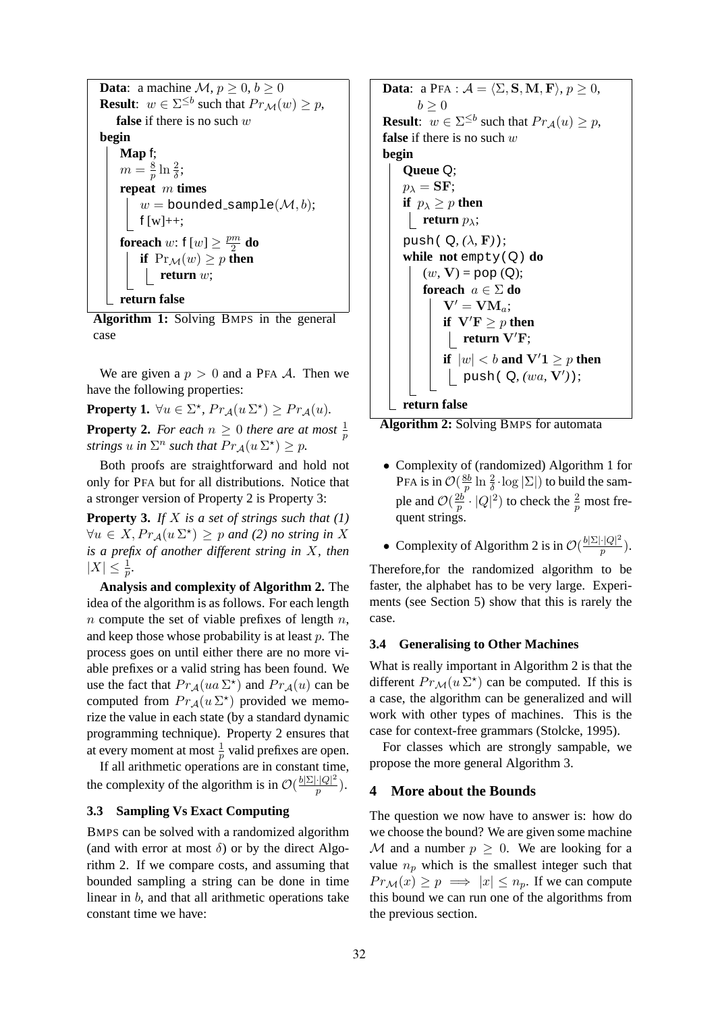| <b>Data:</b> a machine $\mathcal{M}, p \geq 0, b \geq 0$                        |
|---------------------------------------------------------------------------------|
| <b>Result:</b> $w \in \Sigma^{\leq b}$ such that $Pr_{\mathcal{M}}(w) \geq p$ , |
| <b>false</b> if there is no such $w$                                            |
| begin                                                                           |
| Map $f$ ;                                                                       |
| $m=\frac{8}{n}\ln\frac{2}{\delta};$                                             |
| repeat $m$ times                                                                |
| $w =$ bounded_sample $(\mathcal{M}, b)$ ;                                       |
| $f[w]+$ ;                                                                       |
| <b>for<br/>each</b> w: $f[w] \geq \frac{pm}{2}$ <b>do</b>                       |
| if $Pr_{\mathcal{M}}(w) \geq p$ then                                            |
| return $w$ ;                                                                    |
| urn false                                                                       |

**Algorithm 1:** Solving BMPS in the general case

We are given a  $p > 0$  and a PFA A. Then we have the following properties:

**Property 1.**  $\forall u \in \Sigma^{\star}, Pr_{\mathcal{A}}(u \Sigma^{\star}) \geq Pr_{\mathcal{A}}(u)$ . **Property 2.** For each  $n \geq 0$  there are at most  $\frac{1}{p}$ *strings*  $u$  *in*  $\Sigma^n$  *such that*  $Pr_A(u \Sigma^*) \geq p$ *.* 

Both proofs are straightforward and hold not only for PFA but for all distributions. Notice that a stronger version of Property 2 is Property 3:

**Property 3.** *If* X *is a set of strings such that (1)*  $\forall u \in X, Pr_{\mathcal{A}}(u \Sigma^{\star}) \geq p$  and (2) no string in X *is a prefix of another different string in* X*, then*  $|X| \leq \frac{1}{p}$ .

**Analysis and complexity of Algorithm 2.** The idea of the algorithm is as follows. For each length  $n$  compute the set of viable prefixes of length  $n$ , and keep those whose probability is at least p. The process goes on until either there are no more viable prefixes or a valid string has been found. We use the fact that  $Pr_{\mathcal{A}}(ua \Sigma^*)$  and  $Pr_{\mathcal{A}}(u)$  can be computed from  $Pr_{\mathcal{A}}(u \Sigma^*)$  provided we memorize the value in each state (by a standard dynamic programming technique). Property 2 ensures that at every moment at most  $\frac{1}{p}$  valid prefixes are open.

If all arithmetic operations are in constant time, the complexity of the algorithm is in  $\mathcal{O}(\frac{b|\Sigma| \cdot |Q|^2}{p})$  $rac{|Q|^{-}}{p}$ ).

## **3.3 Sampling Vs Exact Computing**

BMPS can be solved with a randomized algorithm (and with error at most  $\delta$ ) or by the direct Algorithm 2. If we compare costs, and assuming that bounded sampling a string can be done in time linear in b, and that all arithmetic operations take constant time we have:

**Data:** a PFA :  $\mathcal{A} = \langle \Sigma, \mathbf{S}, \mathbf{M}, \mathbf{F} \rangle, p \ge 0$ ,  $b > 0$ **Result**:  $w \in \Sigma^{\leq b}$  such that  $Pr_A(u) \geq p$ , false if there is no such w **begin Queue** Q;  $p_{\lambda} = \mathbf{SF};$ **if**  $p_{\lambda} \geq p$  **then return**  $p_{\lambda}$ ; push( $Q, (\lambda, F)$ ); **while not** empty(Q) **do**  $(w, V) = pop(Q);$ **foreach** a ∈ Σ **do**  $V' = VM_a;$ **if**  $V'F \geq p$  **then return** V′F; **if**  $|w| < b$  and  $V'1 \geq p$  then push( Q*, (*wa*,* V′ *)*); **return false**



- Complexity of (randomized) Algorithm 1 for PFA is in  $\mathcal{O}(\frac{8b}{p})$  $\frac{8b}{p}\ln\frac{2}{\delta}\cdot\log|\Sigma|)$  to build the sample and  $\mathcal{O}(\frac{2b}{p})$  $\frac{2b}{p} \cdot |Q|^2$ ) to check the  $\frac{2}{p}$  most frequent strings.
- Complexity of Algorithm 2 is in  $\mathcal{O}(\frac{b|\Sigma|\cdot|Q|^2}{p})$  $\frac{| \cdot |Q|^{-}}{p}$ ).

Therefore,for the randomized algorithm to be faster, the alphabet has to be very large. Experiments (see Section 5) show that this is rarely the case.

## **3.4 Generalising to Other Machines**

What is really important in Algorithm 2 is that the different  $Pr_{\mathcal{M}}(u \Sigma^*)$  can be computed. If this is a case, the algorithm can be generalized and will work with other types of machines. This is the case for context-free grammars (Stolcke, 1995).

For classes which are strongly sampable, we propose the more general Algorithm 3.

#### **4 More about the Bounds**

The question we now have to answer is: how do we choose the bound? We are given some machine M and a number  $p \geq 0$ . We are looking for a value  $n_p$  which is the smallest integer such that  $Pr_{\mathcal{M}}(x) \geq p \implies |x| \leq n_p$ . If we can compute this bound we can run one of the algorithms from the previous section.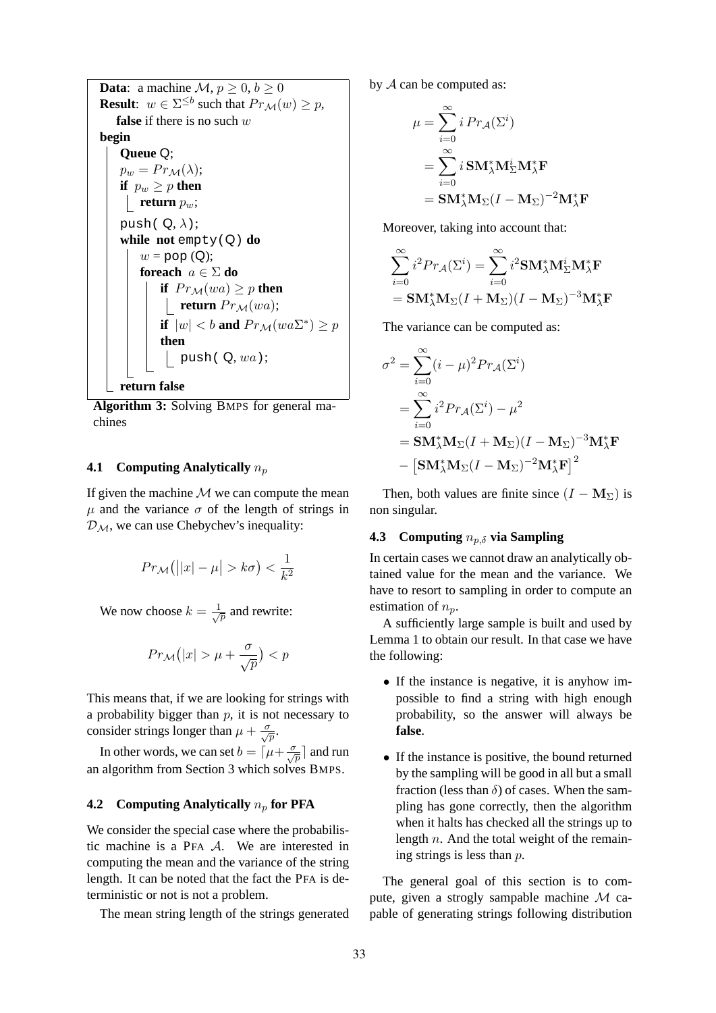**Data:** a machine  $\mathcal{M}, p \geq 0, b \geq 0$ **Result**:  $w \in \Sigma^{\leq b}$  such that  $Pr_{\mathcal{M}}(w) \geq p$ , **false** if there is no such w **begin Queue** Q;  $p_w = Pr_{\mathcal{M}}(\lambda);$ **if**  $p_w \geq p$  **then return**  $p_w$ ; push( $Q, \lambda$ ); **while not** empty(Q) **do**  $w = pop(Q);$ **foreach** a ∈ Σ **do if**  $Pr_{\mathcal{M}}(wa) \geq p$  **then return**  $Pr_{\mathcal{M}}(wa);$ **if**  $|w| < b$  and  $Pr_{\mathcal{M}}(wa\Sigma^*) \geq p$ **then** push( Q*,* wa); **return false**

**Algorithm 3:** Solving BMPS for general machines

## **4.1 Computing Analytically**  $n_p$

If given the machine  $M$  we can compute the mean  $\mu$  and the variance  $\sigma$  of the length of strings in  $\mathcal{D}_{\mathcal{M}}$ , we can use Chebychev's inequality:

$$
Pr_{\mathcal{M}}(|x| - \mu| > k\sigma) < \frac{1}{k^2}
$$

We now choose  $k = \frac{1}{\sqrt{2}}$  $\frac{1}{p}$  and rewrite:

$$
Pr_{\mathcal{M}}(|x| > \mu + \frac{\sigma}{\sqrt{p}}) < p
$$

This means that, if we are looking for strings with a probability bigger than  $p$ , it is not necessary to consider strings longer than  $\mu + \frac{\sigma}{\sqrt{p}}$ .

In other words, we can set  $b = \lceil \mu + \frac{\sigma}{\sqrt{p}} \rceil$  and run an algorithm from Section 3 which solves BMPS.

## **4.2 Computing Analytically**  $n_p$  for PFA

We consider the special case where the probabilistic machine is a PFA A. We are interested in computing the mean and the variance of the string length. It can be noted that the fact the PFA is deterministic or not is not a problem.

The mean string length of the strings generated

by  $A$  can be computed as:

$$
\mu = \sum_{i=0}^{\infty} i \Pr_{\mathcal{A}}(\Sigma^{i})
$$
  
= 
$$
\sum_{i=0}^{\infty} i \, \mathbf{SM}_{\lambda}^{*} \mathbf{M}_{\Sigma}^{i} \mathbf{M}_{\lambda}^{*} \mathbf{F}
$$
  
= 
$$
\mathbf{SM}_{\lambda}^{*} \mathbf{M}_{\Sigma} (I - \mathbf{M}_{\Sigma})^{-2} \mathbf{M}_{\lambda}^{*} \mathbf{F}
$$

Moreover, taking into account that:

$$
\sum_{i=0}^{\infty} i^2 Pr_{\mathcal{A}}(\Sigma^i) = \sum_{i=0}^{\infty} i^2 \mathbf{SM}_{\lambda}^* \mathbf{M}_{\Sigma}^i \mathbf{M}_{\lambda}^* \mathbf{F}
$$

$$
= \mathbf{SM}_{\lambda}^* \mathbf{M}_{\Sigma} (I + \mathbf{M}_{\Sigma}) (I - \mathbf{M}_{\Sigma})^{-3} \mathbf{M}_{\lambda}^* \mathbf{F}
$$

The variance can be computed as:

$$
\sigma^2 = \sum_{i=0}^{\infty} (i - \mu)^2 Pr_{\mathcal{A}}(\Sigma^i)
$$
  
= 
$$
\sum_{i=0}^{\infty} i^2 Pr_{\mathcal{A}}(\Sigma^i) - \mu^2
$$
  
= 
$$
SM_{\lambda}^* M_{\Sigma} (I + M_{\Sigma}) (I - M_{\Sigma})^{-3} M_{\lambda}^* \mathbf{F}
$$
  
- 
$$
[SM_{\lambda}^* M_{\Sigma} (I - M_{\Sigma})^{-2} M_{\lambda}^* \mathbf{F}]^2
$$

Then, both values are finite since  $(I - M_{\Sigma})$  is non singular.

## **4.3** Computing  $n_{p,\delta}$  via Sampling

In certain cases we cannot draw an analytically obtained value for the mean and the variance. We have to resort to sampling in order to compute an estimation of  $n_n$ .

A sufficiently large sample is built and used by Lemma 1 to obtain our result. In that case we have the following:

- If the instance is negative, it is anyhow impossible to find a string with high enough probability, so the answer will always be **false**.
- If the instance is positive, the bound returned by the sampling will be good in all but a small fraction (less than  $\delta$ ) of cases. When the sampling has gone correctly, then the algorithm when it halts has checked all the strings up to length n. And the total weight of the remaining strings is less than p.

The general goal of this section is to compute, given a strogly sampable machine M capable of generating strings following distribution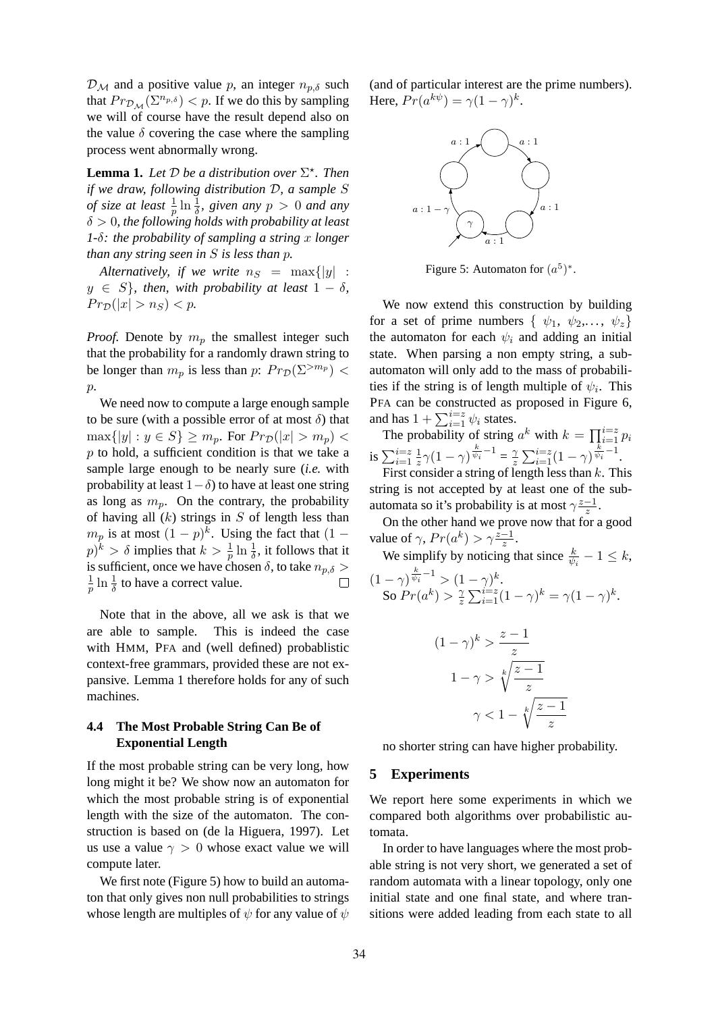$\mathcal{D}_{\mathcal{M}}$  and a positive value p, an integer  $n_{p,\delta}$  such that  $Pr_{\mathcal{D}_{\mathcal{M}}}(\Sigma^{n_{p,\delta}}) < p$ . If we do this by sampling we will of course have the result depend also on the value  $\delta$  covering the case where the sampling process went abnormally wrong.

**Lemma 1.** Let  $D$  be a distribution over  $\Sigma^*$ . Then *if we draw, following distribution* D*, a sample* S *of size at least*  $\frac{1}{p} \ln \frac{1}{\delta}$ *, given any*  $p > 0$  *and any* δ > 0*, the following holds with probability at least 1-*δ*: the probability of sampling a string* x *longer than any string seen in* S *is less than* p*.*

*Alternatively, if we write*  $n_S = \max\{|y|$ :  $y \in S$ *}, then, with probability at least*  $1 - \delta$ *,*  $Pr_{\mathcal{D}}(|x| > n_S) < p$ .

*Proof.* Denote by  $m_p$  the smallest integer such that the probability for a randomly drawn string to be longer than  $m_p$  is less than  $p: Pr_{\mathcal{D}}(\Sigma^{>m_p}) <$ p.

We need now to compute a large enough sample to be sure (with a possible error of at most  $\delta$ ) that  $\max\{|y|: y \in S\} \geq m_p$ . For  $Pr_{\mathcal{D}}(|x| > m_p)$  $p$  to hold, a sufficient condition is that we take a sample large enough to be nearly sure (*i.e.* with probability at least  $1-\delta$ ) to have at least one string as long as  $m_p$ . On the contrary, the probability of having all  $(k)$  strings in  $S$  of length less than  $m_p$  is at most  $(1-p)^k$ . Using the fact that  $(1-p)^k$  $(p)^k > \delta$  implies that  $k > \frac{1}{p} \ln \frac{1}{\delta}$ , it follows that it is sufficient, once we have chosen  $\delta$ , to take  $n_{p,\delta}$  $\frac{1}{p} \ln \frac{1}{\delta}$  to have a correct value. 1  $\Box$ 

Note that in the above, all we ask is that we are able to sample. This is indeed the case with HMM, PFA and (well defined) probablistic context-free grammars, provided these are not expansive. Lemma 1 therefore holds for any of such machines.

# **4.4 The Most Probable String Can Be of Exponential Length**

If the most probable string can be very long, how long might it be? We show now an automaton for which the most probable string is of exponential length with the size of the automaton. The construction is based on (de la Higuera, 1997). Let us use a value  $\gamma > 0$  whose exact value we will compute later.

We first note (Figure 5) how to build an automaton that only gives non null probabilities to strings whose length are multiples of  $\psi$  for any value of  $\psi$  (and of particular interest are the prime numbers). Here,  $Pr(a^{k\psi}) = \gamma(1-\gamma)^k$ .



Figure 5: Automaton for  $(a^5)^*$ .

We now extend this construction by building for a set of prime numbers  $\{ \psi_1, \psi_2, \dots, \psi_z \}$ the automaton for each  $\psi_i$  and adding an initial state. When parsing a non empty string, a subautomaton will only add to the mass of probabilities if the string is of length multiple of  $\psi_i$ . This PFA can be constructed as proposed in Figure 6, and has  $1 + \sum_{i=1}^{i=z} \psi_i$  states.

The probability of string  $a^k$  with  $k = \prod_{i=1}^{i=z} p_i$ is  $\sum_{i=1}^{i=z} \frac{1}{z}$  $\frac{1}{z}\gamma(1-\gamma)^{\frac{k}{\psi_i}-1}=\frac{\gamma}{z}$  $\frac{\gamma}{z} \sum_{i=1}^{i=z} (1-\gamma)^{\frac{k}{\psi_i}-1}.$ 

First consider a string of length less than  $k$ . This string is not accepted by at least one of the subautomata so it's probability is at most  $\gamma \frac{z-1}{z}$ .

On the other hand we prove now that for a good value of  $\gamma$ ,  $Pr(a^k) > \gamma \frac{z-1}{z}$ .

We simplify by noticing that since  $\frac{k}{\psi_i} - 1 \leq k$ ,  $(1 - \gamma)^{\frac{k}{\psi_i} - 1} > (1 - \gamma)^k.$ So  $Pr(a^k) > \frac{2}{3}$  $\int_{z}^{\gamma} \sum_{i=1}^{i=z} (1-\gamma)^{k} = \gamma (1-\gamma)^{k}.$ 

$$
(1 - \gamma)^k > \frac{z - 1}{z}
$$

$$
1 - \gamma > \sqrt[k]{\frac{z - 1}{z}}
$$

$$
\gamma < 1 - \sqrt[k]{\frac{z - 1}{z}}
$$

no shorter string can have higher probability.

## **5 Experiments**

We report here some experiments in which we compared both algorithms over probabilistic automata.

In order to have languages where the most probable string is not very short, we generated a set of random automata with a linear topology, only one initial state and one final state, and where transitions were added leading from each state to all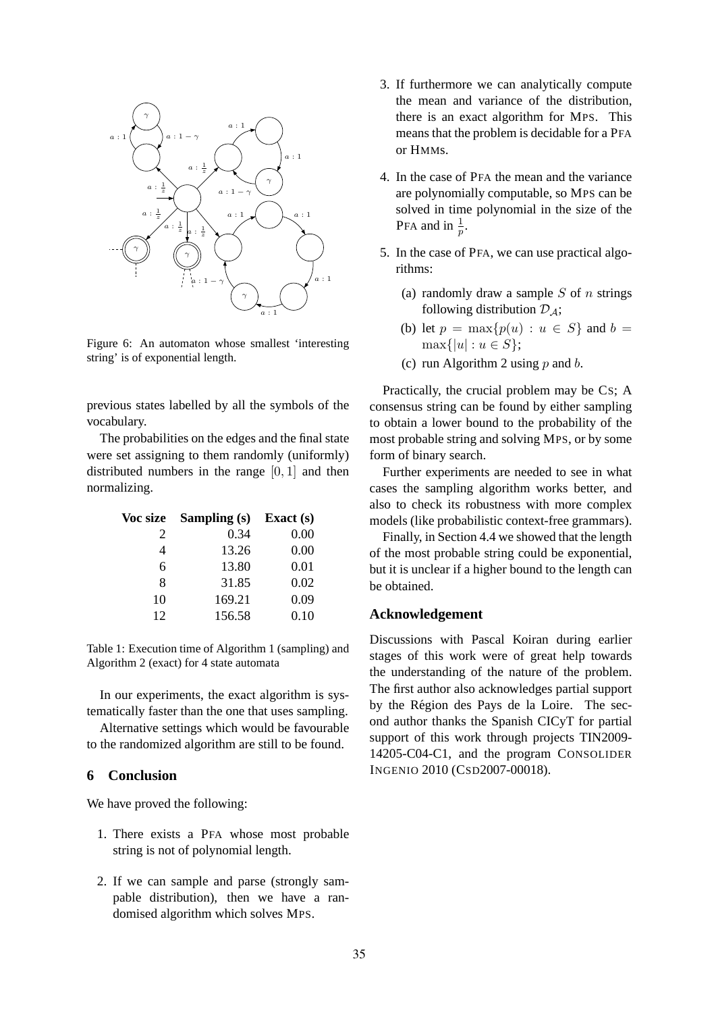

Figure 6: An automaton whose smallest 'interesting string' is of exponential length.

previous states labelled by all the symbols of the vocabulary.

The probabilities on the edges and the final state were set assigning to them randomly (uniformly) distributed numbers in the range [0, 1] and then normalizing.

| Voc size | Sampling (s) | Exact $(s)$ |
|----------|--------------|-------------|
| 2        | 0.34         | 0.00        |
| 4        | 13.26        | 0.00        |
| 6        | 13.80        | 0.01        |
| 8        | 31.85        | 0.02        |
| 10       | 169.21       | 0.09        |
| 12       | 156.58       | 0.10        |

Table 1: Execution time of Algorithm 1 (sampling) and Algorithm 2 (exact) for 4 state automata

In our experiments, the exact algorithm is systematically faster than the one that uses sampling.

Alternative settings which would be favourable to the randomized algorithm are still to be found.

## **6 Conclusion**

We have proved the following:

- 1. There exists a PFA whose most probable string is not of polynomial length.
- 2. If we can sample and parse (strongly sampable distribution), then we have a randomised algorithm which solves MPS.
- 3. If furthermore we can analytically compute the mean and variance of the distribution, there is an exact algorithm for MPS. This means that the problem is decidable for a PFA or HMMs.
- 4. In the case of PFA the mean and the variance are polynomially computable, so MPS can be solved in time polynomial in the size of the PFA and in  $\frac{1}{p}$ .
- 5. In the case of PFA, we can use practical algorithms:
	- (a) randomly draw a sample  $S$  of  $n$  strings following distribution  $\mathcal{D}_A$ ;
	- (b) let  $p = \max\{p(u) : u \in S\}$  and  $b =$  $\max\{|u| : u \in S\};$
	- (c) run Algorithm 2 using p and b.

Practically, the crucial problem may be CS; A consensus string can be found by either sampling to obtain a lower bound to the probability of the most probable string and solving MPS, or by some form of binary search.

Further experiments are needed to see in what cases the sampling algorithm works better, and also to check its robustness with more complex models (like probabilistic context-free grammars).

Finally, in Section 4.4 we showed that the length of the most probable string could be exponential, but it is unclear if a higher bound to the length can be obtained.

#### **Acknowledgement**

Discussions with Pascal Koiran during earlier stages of this work were of great help towards the understanding of the nature of the problem. The first author also acknowledges partial support by the Region des Pays de la Loire. The sec- ´ ond author thanks the Spanish CICyT for partial support of this work through projects TIN2009- 14205-C04-C1, and the program CONSOLIDER INGENIO 2010 (CSD2007-00018).